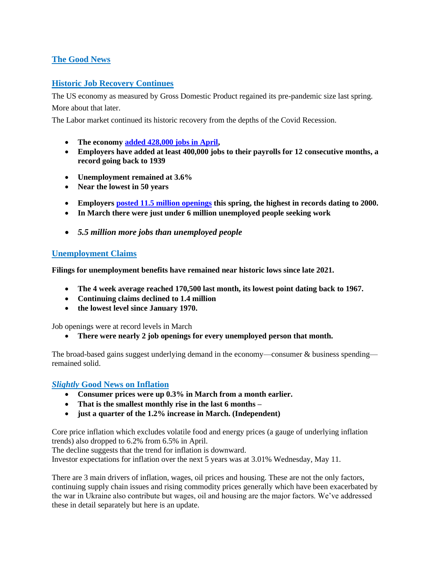# **The Good News**

### **Historic Job Recovery Continues**

The US economy as measured by Gross Domestic Product regained its pre-pandemic size last spring.

More about that later.

The Labor market continued its historic recovery from the depths of the Covid Recession.

- **The economy [added 428,000 jobs in April,](https://www.bls.gov/news.release/pdf/empsit.pdf)**
- **Employers have added at least 400,000 jobs to their payrolls for 12 consecutive months, a record going back to 1939**
- **Unemployment remained at 3.6%**
- **Near the lowest in 50 years**
- **Employers [posted 11.5 million openings](https://www.wsj.com/articles/job-openings-us-growth-labor-market-turnover-march-2022-11651529531?mod=article_inline) this spring, the highest in records dating to 2000.**
- **In March there were just under 6 million unemployed people seeking work**
- *5.5 million more jobs than unemployed people*

#### **Unemployment Claims**

**Filings for unemployment benefits have remained near historic lows since late 2021.** 

- **The 4 week average reached 170,500 last month, its lowest point dating back to 1967.**
- **Continuing claims declined to 1.4 million**
- **the lowest level since January 1970.**

Job openings were at record levels in March

• **There were nearly 2 job openings for every unemployed person that month.**

The broad-based gains suggest underlying demand in the economy—consumer & business spending remained solid.

### *Slightly* **Good News on Inflation**

- **Consumer prices were up 0.3% in March from a month earlier.**
- **That is the smallest monthly rise in the last 6 months –**
- **just a quarter of the 1.2% increase in March. (Independent)**

Core price inflation which excludes volatile food and energy prices (a gauge of underlying inflation trends) also dropped to 6.2% from 6.5% in April.

The decline suggests that the trend for inflation is downward.

Investor expectations for inflation over the next 5 years was at 3.01% Wednesday, May 11.

There are 3 main drivers of inflation, wages, oil prices and housing. These are not the only factors, continuing supply chain issues and rising commodity prices generally which have been exacerbated by the war in Ukraine also contribute but wages, oil and housing are the major factors. We've addressed these in detail separately but here is an update.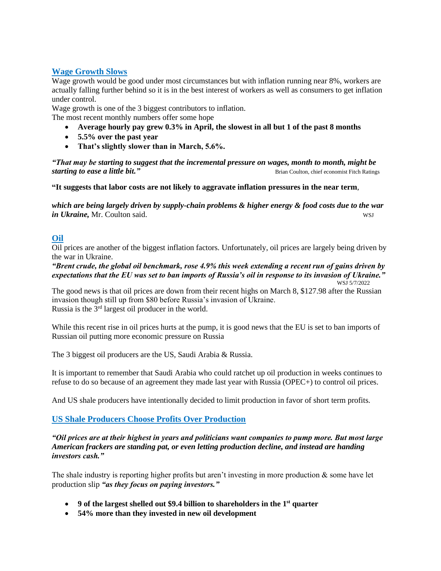### **Wage Growth Slows**

Wage growth would be good under most circumstances but with inflation running near 8%, workers are actually falling further behind so it is in the best interest of workers as well as consumers to get inflation under control.

Wage growth is one of the 3 biggest contributors to inflation.

The most recent monthly numbers offer some hope

- **Average hourly pay grew 0.3% in April, the slowest in all but 1 of the past 8 months**
- **5.5% over the past year**
- **That's slightly slower than in March, 5.6%.**

*"That may be starting to suggest that the incremental pressure on wages, month to month, might be*  **starting to ease a little bit."** Brian Coulton, chief economist Fitch Ratings

**"It suggests that labor costs are not likely to aggravate inflation pressures in the near term**,

*which are being largely driven by supply-chain problems & higher energy & food costs due to the war in Ukraine*, Mr. Coulton said. WSJ

# **Oil**

Oil prices are another of the biggest inflation factors. Unfortunately, oil prices are largely being driven by the war in Ukraine.

*"Brent crude, the global oil benchmark, rose 4.9% this week extending a recent run of gains driven by expectations that the EU was set to ban imports of Russia's oil in response to its invasion of Ukraine."* WSJ 5/7/2022

The good news is that oil prices are down from their recent highs on March 8, \$127.98 after the Russian invasion though still up from \$80 before Russia's invasion of Ukraine. Russia is the 3rd largest oil producer in the world.

While this recent rise in oil prices hurts at the pump, it is good news that the EU is set to ban imports of Russian oil putting more economic pressure on Russia

The 3 biggest oil producers are the US, Saudi Arabia & Russia.

It is important to remember that Saudi Arabia who could ratchet up oil production in weeks continues to refuse to do so because of an agreement they made last year with Russia (OPEC+) to control oil prices.

And US shale producers have intentionally decided to limit production in favor of short term profits.

## **US Shale Producers Choose Profits Over Production**

*"Oil prices are at their highest in years and politicians want companies to pump more. But most large American frackers are standing pat, or even letting production decline, and instead are handing investors cash."*

The shale industry is reporting higher profits but aren't investing in more production  $\&$  some have let production slip *"as they focus on paying investors."*

- **9 of the largest shelled out \$9.4 billion to shareholders in the 1st quarter**
- **54% more than they invested in new oil development**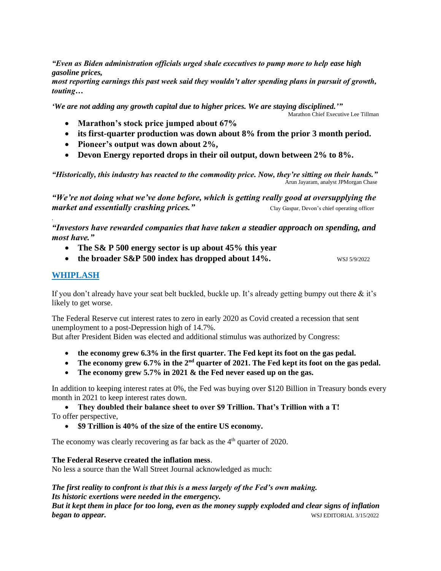*"Even as Biden administration officials urged shale executives to pump more to help ease high gasoline prices,* 

*most reporting earnings this past week said they wouldn't alter spending plans in pursuit of growth, touting…*

*'We are not adding any growth capital due to higher prices. We are staying disciplined.'"*

Marathon Chief Executive Lee Tillman

- **Marathon's stock price jumped about 67%**
- **its first-quarter production was down about 8% from the prior 3 month period.**
- **Pioneer's output was down about 2%,**
- **Devon Energy reported drops in their oil output, down between 2% to 8%.**

*"Historically, this industry has reacted to the commodity price. Now, they're sitting on their hands."* Arun Jayaram, analyst JPMorgan Chase

*"We're not doing what we've done before, which is getting really good at oversupplying the market and essentially crashing prices.*" Clay Gaspar, Devon's chief operating officer

*"Investors have rewarded companies that have taken a steadier approach on spending, and most have."* 

- **The S& P 500 energy sector is up about 45% this year**
- **the broader S&P 500 index has dropped about 14%.** WSJ 5/9/2022

## **WHIPLASH**

.

If you don't already have your seat belt buckled, buckle up. It's already getting bumpy out there & it's likely to get worse.

The Federal Reserve cut interest rates to zero in early 2020 as Covid created a recession that sent unemployment to a post-Depression high of 14.7%.

But after President Biden was elected and additional stimulus was authorized by Congress:

- **the economy grew 6.3% in the first quarter. The Fed kept its foot on the gas pedal.**
- The economy grew 6.7% in the 2<sup>nd</sup> quarter of 2021. The Fed kept its foot on the gas pedal.
- **The economy grew 5.7% in 2021 & the Fed never eased up on the gas.**

In addition to keeping interest rates at 0%, the Fed was buying over \$120 Billion in Treasury bonds every month in 2021 to keep interest rates down.

• **They doubled their balance sheet to over \$9 Trillion. That's Trillion with a T!** To offer perspective,

• **\$9 Trillion is 40% of the size of the entire US economy.** 

The economy was clearly recovering as far back as the 4<sup>th</sup> quarter of 2020.

**The Federal Reserve created the inflation mess**.

No less a source than the Wall Street Journal acknowledged as much:

*The first reality to confront is that this is a mess largely of the Fed's own making. Its historic exertions were needed in the emergency. But it kept them in place for too long, even as the money supply exploded and clear signs of inflation*  **began to appear.** WSJ EDITORIAL 3/15/2022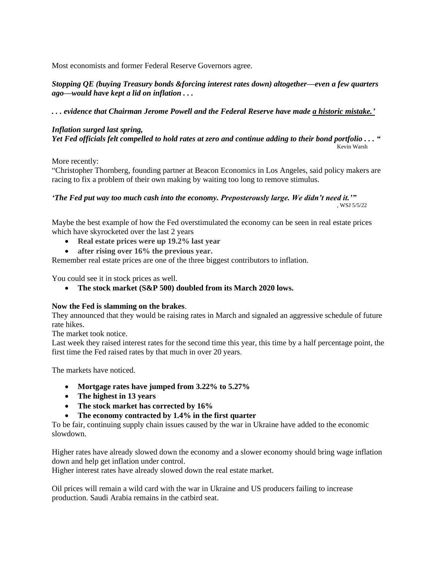Most economists and former Federal Reserve Governors agree.

*Stopping QE (buying Treasury bonds &forcing interest rates down) altogether—even a few quarters ago—would have kept a lid on inflation . . .* 

*. . . evidence that Chairman Jerome Powell and the Federal Reserve have made a historic mistake.'*

*Inflation surged last spring, Yet Fed officials felt compelled to hold rates at zero and continue adding to their bond portfolio . . . "* Kevin Warsh

More recently:

"Christopher Thornberg, founding partner at Beacon Economics in Los Angeles, said policy makers are racing to fix a problem of their own making by waiting too long to remove stimulus.

*'The Fed put way too much cash into the economy. Preposterously large. We didn't need it.'"* , WSJ 5/5/22

Maybe the best example of how the Fed overstimulated the economy can be seen in real estate prices which have skyrocketed over the last 2 years

- **Real estate prices were up 19.2% last year**
- **after rising over 16% the previous year.**

Remember real estate prices are one of the three biggest contributors to inflation.

You could see it in stock prices as well.

• **The stock market (S&P 500) doubled from its March 2020 lows.**

#### **Now the Fed is slamming on the brakes**.

They announced that they would be raising rates in March and signaled an aggressive schedule of future rate hikes.

The market took notice.

Last week they raised interest rates for the second time this year, this time by a half percentage point, the first time the Fed raised rates by that much in over 20 years.

The markets have noticed.

- **Mortgage rates have jumped from 3.22% to 5.27%**
- **The highest in 13 years**
- **The stock market has corrected by 16%**
- **The economy contracted by 1.4% in the first quarter**

To be fair, continuing supply chain issues caused by the war in Ukraine have added to the economic slowdown.

Higher rates have already slowed down the economy and a slower economy should bring wage inflation down and help get inflation under control.

Higher interest rates have already slowed down the real estate market.

Oil prices will remain a wild card with the war in Ukraine and US producers failing to increase production. Saudi Arabia remains in the catbird seat.